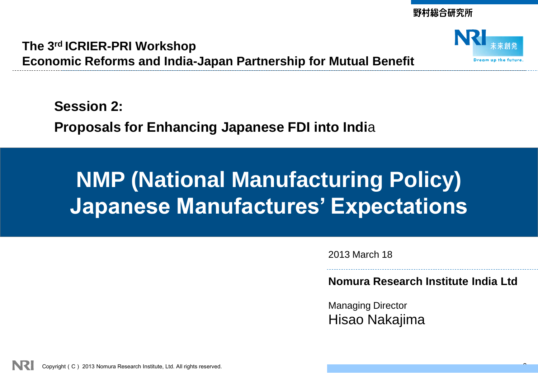野村総合研究所

**The 3rd ICRIER-PRI Workshop Economic Reforms and India-Japan Partnership for Mutual Benefit**



**Session 2: Proposals for Enhancing Japanese FDI into Indi**a

# **NMP (National Manufacturing Policy) Japanese Manufactures' Expectations**

2013 March 18

**Nomura Research Institute India Ltd**

Managing Director Hisao Nakajima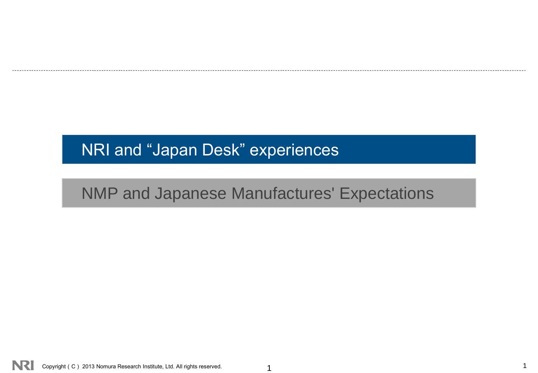# NMP and Japanese Manufactures' Expectations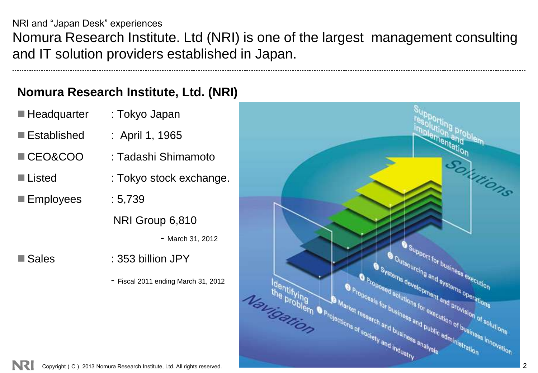NRI and "Japan Desk" experiences Nomura Research Institute. Ltd (NRI) is one of the largest management consulting and IT solution providers established in Japan.

### **Nomura Research Institute, Ltd. (NRI)**

■ Headquarter : Tokyo Japan

- Established : April 1, 1965
- CEO&COO : Tadashi Shimamoto
- Listed : Tokyo stock exchange.
- Employees : 5,739
	- NRI Group 6,810
		- March 31, 2012

- 
- Sales : 353 billion JPY
	- Fiscal 2011 ending March 31, 2012

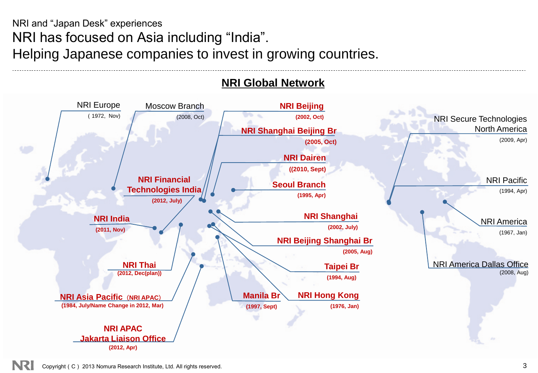### NRI and "Japan Desk" experiences NRI has focused on Asia including "India". Helping Japanese companies to invest in growing countries.

#### **NRI Global Network**

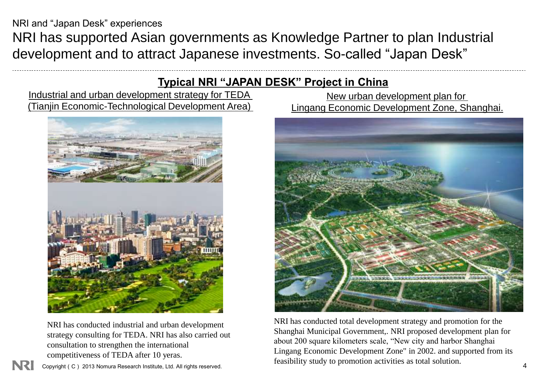NRI has supported Asian governments as Knowledge Partner to plan Industrial development and to attract Japanese investments. So-called "Japan Desk"

#### **Typical NRI "JAPAN DESK" Project in China**

Industrial and urban development strategy for TEDA (Tianjin Economic-Technological Development Area)



NRI has conducted industrial and urban development strategy consulting for TEDA. NRI has also carried out consultation to strengthen the international competitiveness of TEDA after 10 yeras.

Copyright (C) 2013 Nomura Research Institute, Ltd. All rights reserved.

New urban development plan for Lingang Economic Development Zone, Shanghai.



NRI has conducted total development strategy and promotion for the Shanghai Municipal Government,. NRI proposed development plan for about 200 square kilometers scale, "New city and harbor Shanghai Lingang Economic Development Zone" in 2002. and supported from its feasibility study to promotion activities as total solution.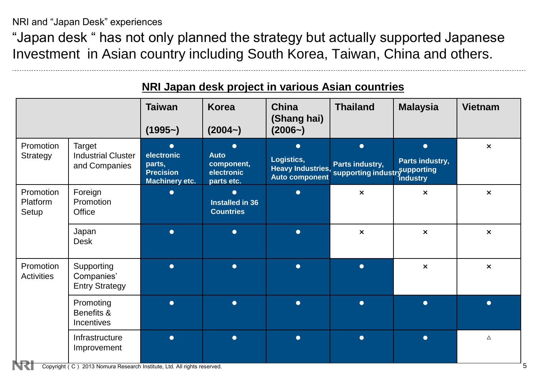"Japan desk " has not only planned the strategy but actually supported Japanese Investment in Asian country including South Korea, Taiwan, China and others.

|                                |                                                      | <b>Taiwan</b><br>$(1995-)$                                                          | <b>Korea</b><br>$(2004-)$                                          | <b>China</b><br>(Shang hai)<br>$(2006-)$         | <b>Thailand</b>                                                                                                | <b>Malaysia</b>                                 | <b>Vietnam</b>            |
|--------------------------------|------------------------------------------------------|-------------------------------------------------------------------------------------|--------------------------------------------------------------------|--------------------------------------------------|----------------------------------------------------------------------------------------------------------------|-------------------------------------------------|---------------------------|
| Promotion<br>Strategy          | Target<br><b>Industrial Cluster</b><br>and Companies | $\blacksquare$<br>electronic<br>parts,<br><b>Precision</b><br><b>Machinery etc.</b> | $\bullet$<br><b>Auto</b><br>component,<br>electronic<br>parts etc. | $\bullet$<br>Logistics,<br><b>Auto component</b> | $\bullet$<br>Parts industry,<br>Heavy Industries, Fails mudstry,<br>Auto component supporting industry aductry | $\bullet$<br>Parts industry,<br><i>industry</i> | $\boldsymbol{\times}$     |
| Promotion<br>Platform<br>Setup | Foreign<br>Promotion<br>Office                       | ●                                                                                   | $\bullet$<br>Installed in 36<br><b>Countries</b>                   | $\bullet$                                        | $\boldsymbol{\mathsf{x}}$                                                                                      | $\boldsymbol{\mathsf{x}}$                       | $\boldsymbol{\mathsf{x}}$ |
|                                | Japan<br><b>Desk</b>                                 | $\bullet$                                                                           | $\bullet$                                                          | $\bullet$                                        | $\boldsymbol{\mathsf{x}}$                                                                                      | $\boldsymbol{\mathsf{x}}$                       | $\boldsymbol{\mathsf{x}}$ |
| Promotion<br><b>Activities</b> | Supporting<br>Companies'<br><b>Entry Strategy</b>    | $\bullet$                                                                           | $\bullet$                                                          | $\bullet$                                        | $\bullet$                                                                                                      | $\pmb{\times}$                                  | $\boldsymbol{\mathsf{x}}$ |
|                                | Promoting<br>Benefits &<br>Incentives                | $\bullet$                                                                           | $\bullet$                                                          | $\bullet$                                        | $\bullet$                                                                                                      | $\bullet$                                       | $\bullet$                 |
|                                | Infrastructure<br>Improvement                        | $\bullet$                                                                           | $\bullet$                                                          | $\bullet$                                        | $\bullet$                                                                                                      | $\bullet$                                       | Δ                         |

#### **NRI Japan desk project in various Asian countries**

Copyright (C) 2013 Nomura Research Institute, Ltd. All rights reserved. 5

N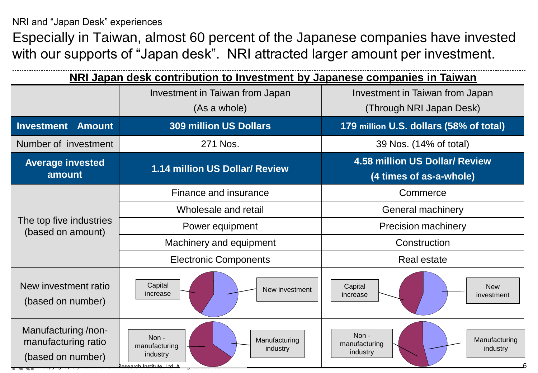Especially in Taiwan, almost 60 percent of the Japanese companies have invested with our supports of "Japan desk". NRI attracted larger amount per investment.

| NRI Japan desk contribution to Investment by Japanese companies in Taiwan |                                                                                       |                                                                  |  |  |  |
|---------------------------------------------------------------------------|---------------------------------------------------------------------------------------|------------------------------------------------------------------|--|--|--|
|                                                                           | Investment in Taiwan from Japan<br>(As a whole)                                       | Investment in Taiwan from Japan<br>(Through NRI Japan Desk)      |  |  |  |
| <b>Investment</b><br><b>Amount</b>                                        | <b>309 million US Dollars</b>                                                         | 179 million U.S. dollars (58% of total)                          |  |  |  |
| Number of investment                                                      | 271 Nos.                                                                              | 39 Nos. (14% of total)                                           |  |  |  |
| <b>Average invested</b><br>amount                                         | 1.14 million US Dollar/ Review                                                        | <b>4.58 million US Dollar/ Review</b><br>(4 times of as-a-whole) |  |  |  |
|                                                                           | Finance and insurance                                                                 | Commerce                                                         |  |  |  |
|                                                                           | Wholesale and retail                                                                  | <b>General machinery</b>                                         |  |  |  |
| The top five industries<br>(based on amount)                              | Power equipment                                                                       | <b>Precision machinery</b>                                       |  |  |  |
|                                                                           | Machinery and equipment                                                               | Construction                                                     |  |  |  |
|                                                                           | <b>Electronic Components</b>                                                          | <b>Real estate</b>                                               |  |  |  |
| New investment ratio<br>(based on number)                                 | Capital<br>New investment<br>increase                                                 | Capital<br><b>New</b><br>increase<br>investment                  |  |  |  |
| Manufacturing/non-<br>manufacturing ratio<br>(based on number)            | Non-<br>Manufacturing<br>manufacturing<br>industry<br>industry<br>earch Institute Ltd | Non-<br>Manufacturing<br>manufacturing<br>industry<br>industry   |  |  |  |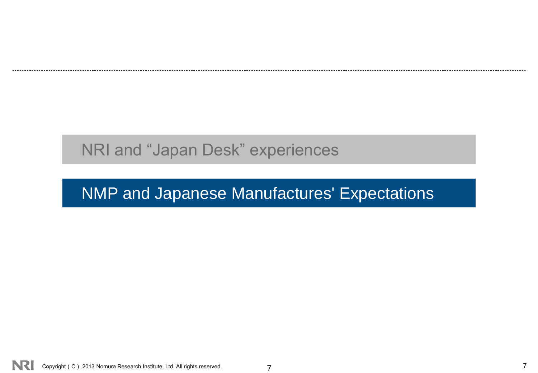# NMP and Japanese Manufactures' Expectations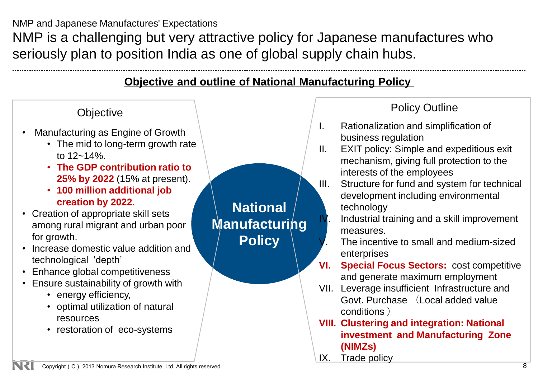NMP and Japanese Manufactures' Expectations

NMP is a challenging but very attractive policy for Japanese manufactures who seriously plan to position India as one of global supply chain hubs.

### **Objective and outline of National Manufacturing Policy**



Copyright(C) 2013 Nomura Research Institute, Ltd. All rights reserved. 8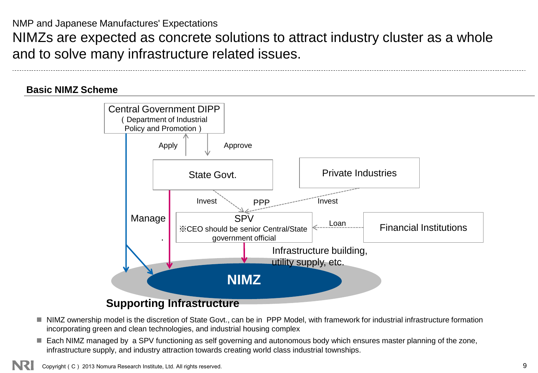NMP and Japanese Manufactures' Expectations

NIMZs are expected as concrete solutions to attract industry cluster as a whole and to solve many infrastructure related issues.

#### **Basic NIMZ Scheme**



- NIMZ ownership model is the discretion of State Govt., can be in PPP Model, with framework for industrial infrastructure formation incorporating green and clean technologies, and industrial housing complex
- Each NIMZ managed by a SPV functioning as self governing and autonomous body which ensures master planning of the zone, infrastructure supply, and industry attraction towards creating world class industrial townships.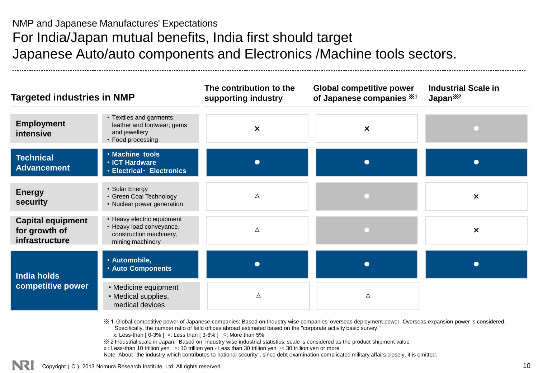NMP and Japanese Manufactures' Expectations For India/Japan mutual benefits, India first should target Japanese Auto/auto components and Electronics /Machine tools sectors.

| <b>Targeted industries in NMP</b>                           |                                                                                                       | The contribution to the<br>supporting industry | <b>Global competitive power</b><br>of Japanese companies *1 | <b>Industrial Scale in</b><br>Japan <sup>*2</sup> |  |
|-------------------------------------------------------------|-------------------------------------------------------------------------------------------------------|------------------------------------------------|-------------------------------------------------------------|---------------------------------------------------|--|
| <b>Employment</b><br>intensive                              | • Textiles and garments;<br>leather and footwear; gems<br>and jewellery<br>• Food processing          | $\boldsymbol{\times}$                          | $\boldsymbol{\mathsf{x}}$                                   |                                                   |  |
| <b>Technical</b><br><b>Advancement</b>                      | · Machine tools<br>· ICT Hardware<br>· Electrical · Electronics                                       | $\bullet$                                      | $\bullet$                                                   |                                                   |  |
| <b>Energy</b><br>security                                   | • Solar Energy<br>• Green Coal Technology<br>• Nuclear power generation                               | $\Delta$                                       |                                                             | $\times$                                          |  |
| <b>Capital equipment</b><br>for growth of<br>infrastructure | • Heavy electric equipment<br>• Heavy load conveyance,<br>construction machinery,<br>mining machinery | Δ                                              |                                                             | $\boldsymbol{\mathsf{x}}$                         |  |
| <b>India holds</b>                                          | · Automobile,<br><b>. Auto Components</b>                                                             | $\bullet$                                      | $\bullet$                                                   |                                                   |  |
| competitive power                                           | • Medicine equipment<br>• Medical supplies,<br>medical devices                                        | Δ                                              | Δ                                                           |                                                   |  |

※1 Global competitive power of Japanese companies: Based on Industry wise companies' overseas deployment power, Overseas expansion power is considered. Specifically, the number ratio of field offices abroad estimated based on the "corporate activity basic survey."

x: Less-than  $[0-3\%]$   $\triangle$ : Less than  $[3-6\%]$   $\heartsuit$ : More than 5%

※2Industrial scale in Japan: Based on industry wise industrial statistics, scale is considered as the product shipment value

x : Less-than 10 trillion yen △: 10 trillion yen - Less than 30 trillion yen ○: 30 trillion yen or more

Note: About "the industry which contributes to national security", since debt examination complicated military affairs closely, it is omitted.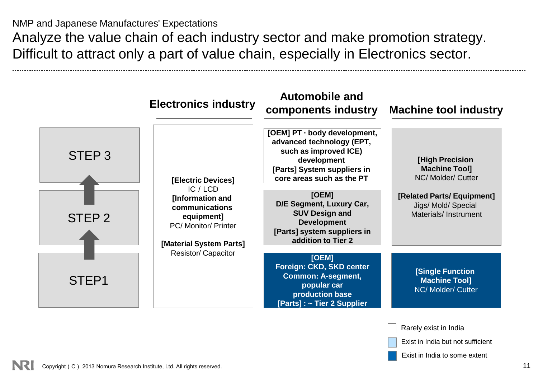NMP and Japanese Manufactures' Expectations Analyze the value chain of each industry sector and make promotion strategy. Difficult to attract only a part of value chain, especially in Electronics sector.



Exist in India but not sufficient

Exist in India to some extent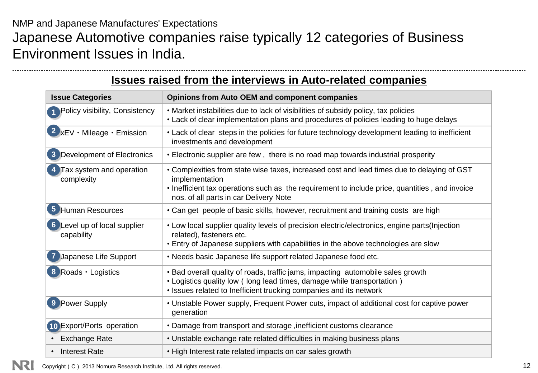NMP and Japanese Manufactures' Expectations Japanese Automotive companies raise typically 12 categories of Business Environment Issues in India.

#### **Issues raised from the interviews in Auto-related companies**

| <b>Issue Categories</b>                           | <b>Opinions from Auto OEM and component companies</b>                                                                                                                                                                                                    |  |  |  |  |
|---------------------------------------------------|----------------------------------------------------------------------------------------------------------------------------------------------------------------------------------------------------------------------------------------------------------|--|--|--|--|
| <b>1</b> Policy visibility, Consistency           | • Market instabilities due to lack of visibilities of subsidy policy, tax policies<br>• Lack of clear implementation plans and procedures of policies leading to huge delays                                                                             |  |  |  |  |
| $2 \times$ EV · Mileage · Emission                | • Lack of clear steps in the policies for future technology development leading to inefficient<br>investments and development                                                                                                                            |  |  |  |  |
| 3 Development of Electronics                      | • Electronic supplier are few, there is no road map towards industrial prosperity                                                                                                                                                                        |  |  |  |  |
| Tax system and operation<br>complexity            | • Complexities from state wise taxes, increased cost and lead times due to delaying of GST<br>implementation<br>• Inefficient tax operations such as the requirement to include price, quantities, and invoice<br>nos. of all parts in car Delivery Note |  |  |  |  |
| 5 Human Resources                                 | • Can get people of basic skills, however, recruitment and training costs are high                                                                                                                                                                       |  |  |  |  |
| <b>6</b> Level up of local supplier<br>capability | • Low local supplier quality levels of precision electric/electronics, engine parts(Injection<br>related), fasteners etc.<br>• Entry of Japanese suppliers with capabilities in the above technologies are slow                                          |  |  |  |  |
| Japanese Life Support                             | • Needs basic Japanese life support related Japanese food etc.                                                                                                                                                                                           |  |  |  |  |
| 8 Roads · Logistics                               | • Bad overall quality of roads, traffic jams, impacting automobile sales growth<br>• Logistics quality low (long lead times, damage while transportation)<br>• Issues related to Inefficient trucking companies and its network                          |  |  |  |  |
| 9 Power Supply                                    | • Unstable Power supply, Frequent Power cuts, impact of additional cost for captive power<br>generation                                                                                                                                                  |  |  |  |  |
| 10 Export/Ports operation                         | . Damage from transport and storage, inefficient customs clearance                                                                                                                                                                                       |  |  |  |  |
| <b>Exchange Rate</b>                              | • Unstable exchange rate related difficulties in making business plans                                                                                                                                                                                   |  |  |  |  |
| • Interest Rate                                   | • High Interest rate related impacts on car sales growth                                                                                                                                                                                                 |  |  |  |  |

Copyright (C) 2013 Nomura Research Institute, Ltd. All rights reserved. 12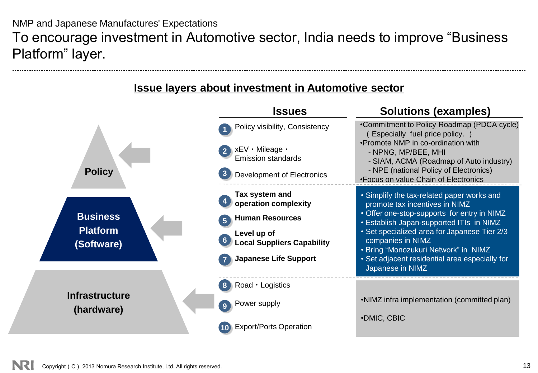NMP and Japanese Manufactures' Expectations To encourage investment in Automotive sector, India needs to improve "Business Platform" layer.

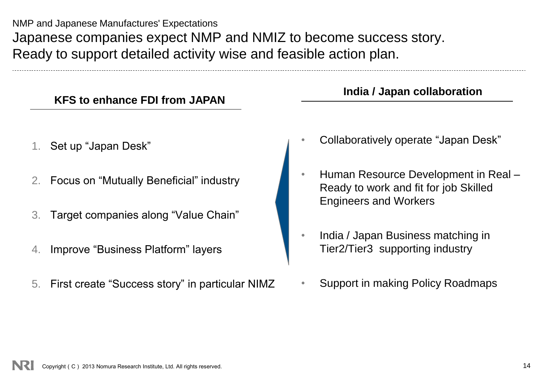NMP and Japanese Manufactures' Expectations Japanese companies expect NMP and NMIZ to become success story. Ready to support detailed activity wise and feasible action plan.

| 3. Target companies along "Value Chain"            |  |            |
|----------------------------------------------------|--|------------|
| 4. Improve "Business Platform" layers              |  | Ind<br>Tie |
| 5. First create "Success story" in particular NIMZ |  | Su         |
|                                                    |  |            |

#### **India / Japan collaboration**

- Collaboratively operate "Japan Desk"
- Human Resource Development in Real Ready to work and fit for job Skilled Engineers and Workers
- dia / Japan Business matching in er2/Tier3 supporting industry
- upport in making Policy Roadmaps

1. Set up "Japan Desk"

2. Focus on "Mutually Beneficial" industry

**KFS to enhance FDI from JAPAN**